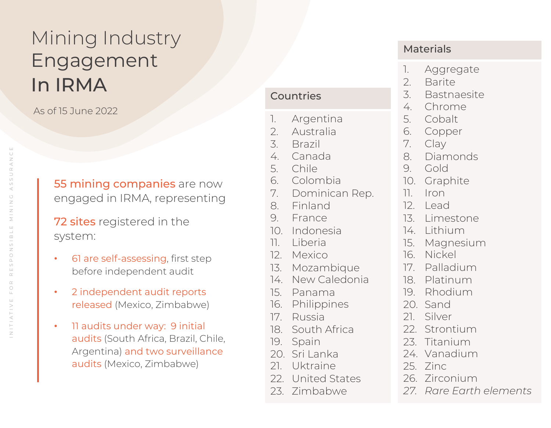## Mining Industry Engagement In IRMA

As of 15 June 2022

**55 mining companies** are now engaged in IRMA, representing

**72 sites** registered in the system:

- 61 are self-assessing, first step before independent audit
- 2 independent audit reports released (Mexico, Zimbabwe)
- 11 audits under way: 9 initial audits (South Africa, Brazil, Chile, Argentina) and two surveillance audits (Mexico, Zimbabwe)

#### Countries

- 1. Argentina
- 2. Australia
- 3. Brazil
- 4. Canada
- 5. Chile
- 6. Colombia
- 7. Dominican Rep.
- 8. Finland
- 9. France
- 10. Indonesia
- 11. Liberia
- 12. Mexico
- 13. Mozambique
- 14. New Caledonia
- 15. Panama
- 16. Philippines
- 17. Russia
- 18. South Africa
- 19. Spain
- 20. Sri Lanka
- 21. Uktraine
- 22. United States
- 23. Zimbabwe

#### Materials

- 1. Aggregate
- 2. Barite
- 3. Bastnaesite
- 4. Chrome
- 5. Cobalt
- 6. Copper
- 7. Clay
- 8. Diamonds
- 9. Gold
- 10. Graphite
- 11. Iron
- 12. Lead
- 13. Limestone
- 14. Lithium
- 15. Magnesium
- 16. Nickel
- 17. Palladium
- 18. Platinum
- 19. Rhodium
- 20. Sand
- 21. Silver
- 22. Strontium
- 23. Titanium
- 24. Vanadium
- 25. Zinc
- 26. Zirconium
- *27. Rare Earth elements*